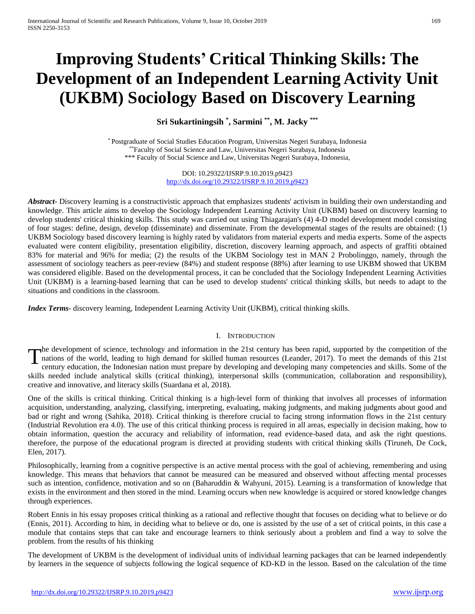# **Improving Students' Critical Thinking Skills: The Development of an Independent Learning Activity Unit (UKBM) Sociology Based on Discovery Learning**

**Sri Sukartiningsih \* , Sarmini \*\* , M. Jacky \*\*\***

\* Postgraduate of Social Studies Education Program, Universitas Negeri Surabaya, Indonesia \*\*Faculty of Social Science and Law, Universitas Negeri Surabaya, Indonesia \*\*\* Faculty of Social Science and Law, Universitas Negeri Surabaya, Indonesia,

> DOI: 10.29322/IJSRP.9.10.2019.p9423 <http://dx.doi.org/10.29322/IJSRP.9.10.2019.p9423>

*Abstract* Discovery learning is a constructivistic approach that emphasizes students' activism in building their own understanding and knowledge. This article aims to develop the Sociology Independent Learning Activity Unit (UKBM) based on discovery learning to develop students' critical thinking skills. This study was carried out using Thiagarajan's (4) 4-D model development model consisting of four stages: define, design, develop (disseminate) and disseminate. From the developmental stages of the results are obtained: (1) UKBM Sociology based discovery learning is highly rated by validators from material experts and media experts. Some of the aspects evaluated were content eligibility, presentation eligibility, discretion, discovery learning approach, and aspects of graffiti obtained 83% for material and 96% for media; (2) the results of the UKBM Sociology test in MAN 2 Probolinggo, namely, through the assessment of sociology teachers as peer-review (84%) and student response (88%) after learning to use UKBM showed that UKBM was considered eligible. Based on the developmental process, it can be concluded that the Sociology Independent Learning Activities Unit (UKBM) is a learning-based learning that can be used to develop students' critical thinking skills, but needs to adapt to the situations and conditions in the classroom.

*Index Terms*- discovery learning, Independent Learning Activity Unit (UKBM), critical thinking skills.

## I. INTRODUCTION

he development of science, technology and information in the 21st century has been rapid, supported by the competition of the The development of science, technology and information in the 21st century has been rapid, supported by the competition of the nations of the world, leading to high demand for skilled human resources (Leander, 2017). To me century education, the Indonesian nation must prepare by developing and developing many competencies and skills. Some of the skills needed include analytical skills (critical thinking), interpersonal skills (communication, collaboration and responsibility), creative and innovative, and literacy skills (Suardana et al, 2018).

One of the skills is critical thinking. Critical thinking is a high-level form of thinking that involves all processes of information acquisition, understanding, analyzing, classifying, interpreting, evaluating, making judgments, and making judgments about good and bad or right and wrong (Sahika, 2018). Critical thinking is therefore crucial to facing strong information flows in the 21st century (Industrial Revolution era 4.0). The use of this critical thinking process is required in all areas, especially in decision making, how to obtain information, question the accuracy and reliability of information, read evidence-based data, and ask the right questions. therefore, the purpose of the educational program is directed at providing students with critical thinking skills (Tiruneh, De Cock, Elen, 2017).

Philosophically, learning from a cognitive perspective is an active mental process with the goal of achieving, remembering and using knowledge. This means that behaviors that cannot be measured can be measured and observed without affecting mental processes such as intention, confidence, motivation and so on (Baharuddin & Wahyuni, 2015). Learning is a transformation of knowledge that exists in the environment and then stored in the mind. Learning occurs when new knowledge is acquired or stored knowledge changes through experiences.

Robert Ennis in his essay proposes critical thinking as a rational and reflective thought that focuses on deciding what to believe or do (Ennis, 2011). According to him, in deciding what to believe or do, one is assisted by the use of a set of critical points, in this case a module that contains steps that can take and encourage learners to think seriously about a problem and find a way to solve the problem. from the results of his thinking

The development of UKBM is the development of individual units of individual learning packages that can be learned independently by learners in the sequence of subjects following the logical sequence of KD-KD in the lesson. Based on the calculation of the time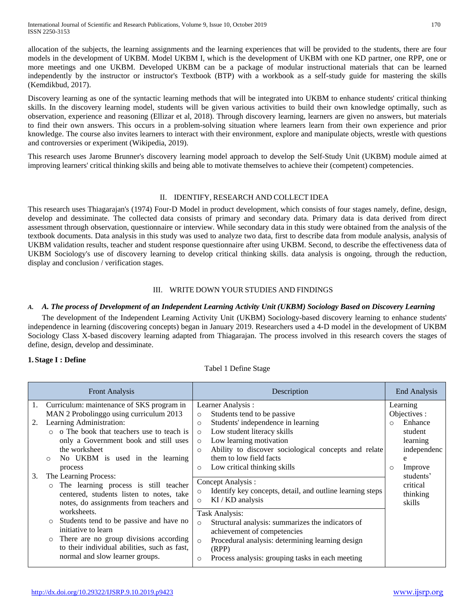allocation of the subjects, the learning assignments and the learning experiences that will be provided to the students, there are four models in the development of UKBM. Model UKBM I, which is the development of UKBM with one KD partner, one RPP, one or more meetings and one UKBM. Developed UKBM can be a package of modular instructional materials that can be learned independently by the instructor or instructor's Textbook (BTP) with a workbook as a self-study guide for mastering the skills (Kemdikbud, 2017).

Discovery learning as one of the syntactic learning methods that will be integrated into UKBM to enhance students' critical thinking skills. In the discovery learning model, students will be given various activities to build their own knowledge optimally, such as observation, experience and reasoning (Ellizar et al, 2018). Through discovery learning, learners are given no answers, but materials to find their own answers. This occurs in a problem-solving situation where learners learn from their own experience and prior knowledge. The course also invites learners to interact with their environment, explore and manipulate objects, wrestle with questions and controversies or experiment (Wikipedia, 2019).

This research uses Jarome Brunner's discovery learning model approach to develop the Self-Study Unit (UKBM) module aimed at improving learners' critical thinking skills and being able to motivate themselves to achieve their (competent) competencies.

# II. IDENTIFY, RESEARCH AND COLLECT IDEA

This research uses Thiagarajan's (1974) Four-D Model in product development, which consists of four stages namely, define, design, develop and dessiminate. The collected data consists of primary and secondary data. Primary data is data derived from direct assessment through observation, questionnaire or interview. While secondary data in this study were obtained from the analysis of the textbook documents. Data analysis in this study was used to analyze two data, first to describe data from module analysis, analysis of UKBM validation results, teacher and student response questionnaire after using UKBM. Second, to describe the effectiveness data of UKBM Sociology's use of discovery learning to develop critical thinking skills. data analysis is ongoing, through the reduction, display and conclusion / verification stages.

# III. WRITE DOWN YOUR STUDIES AND FINDINGS

# *A. A. The process of Development of an Independent Learning Activity Unit (UKBM) Sociology Based on Discovery Learning*

The development of the Independent Learning Activity Unit (UKBM) Sociology-based discovery learning to enhance students' independence in learning (discovering concepts) began in January 2019. Researchers used a 4-D model in the development of UKBM Sociology Class X-based discovery learning adapted from Thiagarajan. The process involved in this research covers the stages of define, design, develop and dessiminate.

## **1. Stage I : Define**

## Tabel 1 Define Stage

| End Analysis                                                          |
|-----------------------------------------------------------------------|
| Learning                                                              |
| Objectives :                                                          |
| Students' independence in learning<br>Enhance                         |
| student                                                               |
| learning                                                              |
| Ability to discover sociological concepts and relate<br>independenc   |
| e                                                                     |
| Improve<br>$\circ$                                                    |
| students'                                                             |
| critical                                                              |
| Identify key concepts, detail, and outline learning steps<br>thinking |
| skills                                                                |
|                                                                       |
| Structural analysis: summarizes the indicators of                     |
|                                                                       |
| Procedural analysis: determining learning design                      |
|                                                                       |
| Process analysis: grouping tasks in each meeting                      |
|                                                                       |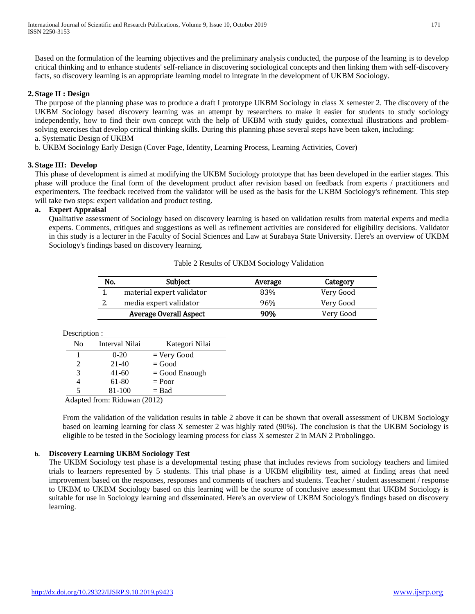Based on the formulation of the learning objectives and the preliminary analysis conducted, the purpose of the learning is to develop critical thinking and to enhance students' self-reliance in discovering sociological concepts and then linking them with self-discovery facts, so discovery learning is an appropriate learning model to integrate in the development of UKBM Sociology.

## **2. Stage II : Design**

The purpose of the planning phase was to produce a draft I prototype UKBM Sociology in class X semester 2. The discovery of the UKBM Sociology based discovery learning was an attempt by researchers to make it easier for students to study sociology independently, how to find their own concept with the help of UKBM with study guides, contextual illustrations and problemsolving exercises that develop critical thinking skills. During this planning phase several steps have been taken, including: a. Systematic Design of UKBM

b. UKBM Sociology Early Design (Cover Page, Identity, Learning Process, Learning Activities, Cover)

## **3. Stage III: Develop**

This phase of development is aimed at modifying the UKBM Sociology prototype that has been developed in the earlier stages. This phase will produce the final form of the development product after revision based on feedback from experts / practitioners and experimenters. The feedback received from the validator will be used as the basis for the UKBM Sociology's refinement. This step will take two steps: expert validation and product testing.

# **a. Expert Appraisal**

Qualitative assessment of Sociology based on discovery learning is based on validation results from material experts and media experts. Comments, critiques and suggestions as well as refinement activities are considered for eligibility decisions. Validator in this study is a lecturer in the Faculty of Social Sciences and Law at Surabaya State University. Here's an overview of UKBM Sociology's findings based on discovery learning.

## Table 2 Results of UKBM Sociology Validation

| No. | <b>Subject</b>                | Average | Category  |
|-----|-------------------------------|---------|-----------|
|     | material expert validator     | 83%     | Very Good |
| 2.  | media expert validator        | 96%     | Very Good |
|     | <b>Average Overall Aspect</b> | 90%     | Very Good |

Description :

| No                          | Interval Nilai | Kategori Nilai   |
|-----------------------------|----------------|------------------|
|                             | $0-20$         | $=$ Very Good    |
| $\mathcal{D}_{\mathcal{L}}$ | $21-40$        | $=$ Good         |
| 3                           | $41 - 60$      | $=$ Good Enaough |
|                             | 61-80          | $=$ Poor         |
|                             | 81-100         | $=$ Bad          |

Adapted from: Riduwan (2012)

From the validation of the validation results in table 2 above it can be shown that overall assessment of UKBM Sociology based on learning learning for class X semester 2 was highly rated (90%). The conclusion is that the UKBM Sociology is eligible to be tested in the Sociology learning process for class X semester 2 in MAN 2 Probolinggo.

## **b. Discovery Learning UKBM Sociology Test**

The UKBM Sociology test phase is a developmental testing phase that includes reviews from sociology teachers and limited trials to learners represented by 5 students. This trial phase is a UKBM eligibility test, aimed at finding areas that need improvement based on the responses, responses and comments of teachers and students. Teacher / student assessment / response to UKBM to UKBM Sociology based on this learning will be the source of conclusive assessment that UKBM Sociology is suitable for use in Sociology learning and disseminated. Here's an overview of UKBM Sociology's findings based on discovery learning.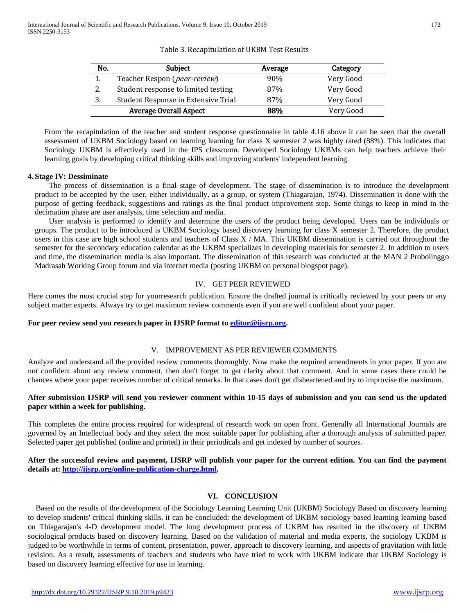|  | Table 3. Recapitulation of UKBM Test Results |  |  |
|--|----------------------------------------------|--|--|
|--|----------------------------------------------|--|--|

| No. | Subject                               | Average | Category  |
|-----|---------------------------------------|---------|-----------|
| 1.  | Teacher Respon ( <i>peer-review</i> ) | 90%     | Very Good |
| 2.  | Student response to limited testing   | 87%     | Very Good |
| 3.  | Student Response in Extensive Trial   | 87%     | Very Good |
|     | <b>Average Overall Aspect</b>         | 88%     | Very Good |

From the recapitulation of the teacher and student response questionnaire in table 4.16 above it can be seen that the overall assessment of UKBM Sociology based on learning learning for class X semester 2 was highly rated (88%). This indicates that Sociology UKBM is effectively used in the IPS classroom. Developed Sociology UKBMs can help teachers achieve their learning goals by developing critical thinking skills and improving students' independent learning.

### **4. Stage IV: Dessiminate**

The process of dissemination is a final stage of development. The stage of dissemination is to introduce the development product to be accepted by the user, either individually, as a group, or system (Thiagarajan, 1974). Dissemination is done with the purpose of getting feedback, suggestions and ratings as the final product improvement step. Some things to keep in mind in the decimation phase are user analysis, time selection and media.

User analysis is performed to identify and determine the users of the product being developed. Users can be individuals or groups. The product to be introduced is UKBM Sociology based discovery learning for class X semester 2. Therefore, the product users in this case are high school students and teachers of Class  $X / MA$ . This UKBM dissemination is carried out throughout the semester for the secondary education calendar as the UKBM specializes in developing materials for semester 2. In addition to users and time, the dissemination media is also important. The dissemination of this research was conducted at the MAN 2 Probolinggo Madrasah Working Group forum and via internet media (posting UKBM on personal blogspot page).

## IV. GET PEER REVIEWED

Here comes the most crucial step for yourresearch publication. Ensure the drafted journal is critically reviewed by your peers or any subject matter experts. Always try to get maximum review comments even if you are well confident about your paper.

## **For peer review send you research paper in IJSRP format to [editor@ijsrp.org.](mailto:editor@ijsrp.org)**

## V. IMPROVEMENT AS PER REVIEWER COMMENTS

Analyze and understand all the provided review comments thoroughly. Now make the required amendments in your paper. If you are not confident about any review comment, then don't forget to get clarity about that comment. And in some cases there could be chances where your paper receives number of critical remarks. In that cases don't get disheartened and try to improvise the maximum.

## **After submission IJSRP will send you reviewer comment within 10-15 days of submission and you can send us the updated paper within a week for publishing.**

This completes the entire process required for widespread of research work on open front. Generally all International Journals are governed by an Intellectual body and they select the most suitable paper for publishing after a thorough analysis of submitted paper. Selected paper get published (online and printed) in their periodicals and get indexed by number of sources.

## **After the successful review and payment, IJSRP will publish your paper for the current edition. You can find the payment details at: [http://ijsrp.org/online-publication-charge.html.](http://ijsrp.org/online-publication-charge.html)**

## **VI. CONCLUSION**

Based on the results of the development of the Sociology Learning Learning Unit (UKBM) Sociology Based on discovery learning to develop students' critical thinking skills, it can be concluded: the development of UKBM sociology based learning learning based on Thiagarajan's 4-D development model. The long development process of UKBM has resulted in the discovery of UKBM sociological products based on discovery learning. Based on the validation of material and media experts, the sociology UKBM is judged to be worthwhile in terms of content, presentation, power, approach to discovery learning, and aspects of gravitation with little revision. As a result, assessments of teachers and students who have tried to work with UKBM indicate that UKBM Sociology is based on discovery learning effective for use in learning.